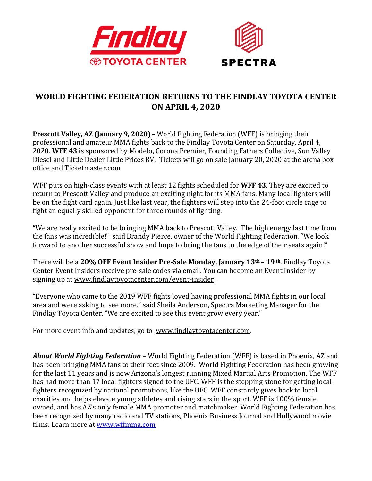

## **WORLD FIGHTING FEDERATION RETURNS TO THE FINDLAY TOYOTA CENTER ON APRIL 4, 2020**

**Prescott Valley, AZ (January 9, 2020) –** World Fighting Federation (WFF) is bringing their professional and amateur MMA fights back to the Findlay Toyota Center on Saturday, April 4, 2020. **WFF 43** is sponsored by Modelo, Corona Premier, Founding Fathers Collective, Sun Valley Diesel and Little Dealer Little Prices RV. Tickets will go on sale January 20, 2020 at the arena box office and Ticketmaster.com

WFF puts on high-class events with at least 12 fights scheduled for **WFF 43**. They are excited to return to Prescott Valley and produce an exciting night for its MMA fans. Many local fighters will be on the fight card again. Just like last year, the fighters will step into the 24-foot circle cage to fight an equally skilled opponent for three rounds of fighting.

"We are really excited to be bringing MMA back to Prescott Valley. The high energy last time from the fans was incredible!" said Brandy Pierce, owner of the World Fighting Federation. "We look forward to another successful show and hope to bring the fans to the edge of their seats again!"

There will be a **20% OFF Event Insider Pre-Sale Monday, January 13th – 19th**. Findlay Toyota Center Event Insiders receive pre-sale codes via email. You can become an Event Insider by signing up at [www.findlaytoyotacenter.com/event-insider](http://www.findlaytoyotacenter.com/event-insider) .

"Everyone who came to the 2019 WFF fights loved having professional MMA fights in our local area and were asking to see more." said Sheila Anderson, Spectra Marketing Manager for the Findlay Toyota Center. "We are excited to see this event grow every year."

For more event info and updates, go to [www.findlaytoyotacenter.com.](http://www.findlaytoyotacenter.com/)

*About World Fighting Federation* – World Fighting Federation (WFF) is based in Phoenix, AZ and has been bringing MMA fans to their feet since 2009. World Fighting Federation has been growing for the last 11 years and is now Arizona's longest running Mixed Martial Arts Promotion. The WFF has had more than 17 local fighters signed to the UFC. WFF is the stepping stone for getting local fighters recognized by national promotions, like the UFC. WFF constantly gives back to local charities and helps elevate young athletes and rising stars in the sport. WFF is 100% female owned, and has AZ's only female MMA promoter and matchmaker. World Fighting Federation has been recognized by many radio and TV stations, Phoenix Business Journal and Hollywood movie films. Learn more at [www.wffmma.com](http://www.wffmma.com/)